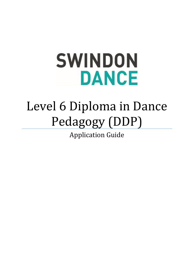# **SWINDON DANCE**

## Level 6 Diploma in Dance Pedagogy (DDP)

Application Guide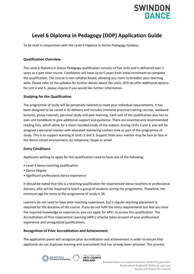

### **Level 6 Diploma in Pedagogy (DDP) Application Guide**

To be read in conjunction with the Level 6 Diploma in Dance Pedagogy Syllabus.

#### **Qualification Overview**

The Level 6 Diploma in Dance Pedagogy qualification consists of five units and is delivered over 2 years as a part time course. Candidates will have up to 5 years from initial enrolment to complete the qualification. The course is non-syllabus based, allowing you room to broaden your teaching skills. Please refer to the syllabus for further details about the units. ISTD do offer additional options for unit 4 and 5, please inquire if you would like further information.

#### **Studying for the Qualification**

The programme of study will be personally tailored to meet your individual requirements. It has been designed to be varied in its delivery and includes intensive practical training courses, weekend lectures, group tutorials, personal study and peer learning. Each unit of the qualification also has its own unit handbook to give additional support and guidance. There are essential and recommended reading lists, which allow for a more rounded study of the subject. During Units 2 and 3, you will be assigned a personal mentor with allocated mentoring contact time as part of the programme of study. This is to support learning in Units 2 and 3. Support from your mentor may be face to face in the dance school environment, by telephone, Skype or email.

#### **Entry Conditions**

Applicants wishing to apply for this qualification need to have one of the following:

- Level 4 dance teaching qualification
- Dance Degree
- Significant professional dance experience

It should be noted that this is a teaching qualification for experienced dance teachers or professional dancers, who will be required to teach a group of students during the programme. Therefore, the minimum age for entry to the programme of study is 18.

Learners do not need to have prior teaching experience, but a regular teaching placement is required for the duration of the course. If you do not fulfil the entry requirements but feel you have the required knowledge or experience, you can apply for APEL to access this qualification. The Accreditation of Prior Experiential Learning (APEL) scheme takes account of your professional experience and unregulated qualifications.

#### **Recognition of Prior Accreditation and Achievement**

The application panel will recognise prior accreditation and achievement in order to ensure that applicants do not duplicate learning and assessment that has already been attained. This process



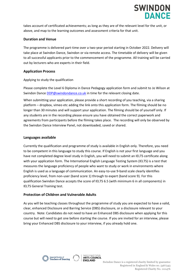

takes account of certificated achievements; as long as they are of the relevant level for the unit, or above, and map to the learning outcomes and assessment criteria for that unit.

#### **Duration and Venue**

The programme is delivered part-time over a two-year period starting in October 2022. Delivery will take place at Swindon Dance, Swindon or via remote access. The timetable of delivery will be given to all successful applicants prior to the commencement of the programme. All training will be carried out by lecturers who are experts in their field.

#### **Application Process**

Applying to study the qualification

Please complete the Level 6 Diploma in Dance Pedagogy application form and submit to Jo Wilson at Swindon Dance [DDP@swindondance.co.uk](mailto:DDP@swindondance.co.uk) in time for the relevant closing date.

When submitting your application, please provide a short recording of you teaching, via a sharing platform – dropbox, vimeo etc adding the link onto this application form. The filming should be no longer than 30 minutes and will support your application. The filming should be of yourself only. If any students are in the recording please ensure you have obtained the correct paperwork and agreements from participants before the filming takes place. The recording will only be observed by the Swindon Dance Interview Panel, not downloaded, saved or shared.

#### **Languages available**

Currently the qualification and programme of study is available in English only. Therefore, you need to be competent in this language to study this course. If English is not your first language and you have not completed degree level study in English, you will need to submit an IELTS certificate along with your application form. The International English Language Testing System (IELTS) is a test that measures the language proficiency of people who want to study or work in environments where English is used as a language of communication. An easy-to-use 9-band scale clearly identifies proficiency level, from non-user (band score 1) through to expert (band score 9). For this qualification Swindon Dance accepts the score of IELTS 6.5 (with minimum 6 in all components) in IELTS General Training test.

#### **Protection of Children and Vulnerable Adults**

As you will be teaching classes throughout the programme of study you are expected to have a valid, clear, enhanced Disclosure and Barring Service (DBS) disclosure, or a disclosure relevant to your country. Note: Candidates do not need to have an Enhanced DBS disclosure when applying for this course but will need to get one before starting the course. If you are invited for an interview, please bring your Enhanced DBS disclosure to your interview, if you already hold one.



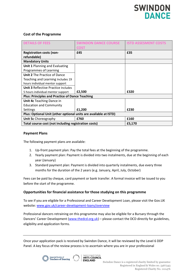

#### **Cost of the Programme**

| <b>DETAILS OF FEES</b>                                           | <b>SWINDON DANCE COURSE</b><br>COST | <b>ISTD ASSESMENT COSTS</b> |
|------------------------------------------------------------------|-------------------------------------|-----------------------------|
| <b>Registration costs (non-</b>                                  | £45                                 | £35                         |
| refundable)                                                      |                                     |                             |
| <b>Mandatory Units</b>                                           |                                     |                             |
| <b>Unit 1 Planning and Evaluating</b>                            |                                     |                             |
| Programmes of Learning                                           |                                     |                             |
| <b>Unit 2</b> The Practice of Dance                              |                                     |                             |
| Teaching and Learning Includes 19                                |                                     |                             |
| hours individual mentor support                                  |                                     |                             |
| <b>Unit 3 Reflective Practice Includes</b>                       |                                     |                             |
| 5 hours individual mentor support                                | £2,500                              | £320                        |
| <b>Plus: Principles and Practice of Dance Teaching</b>           |                                     |                             |
| <b>Unit 4c</b> Teaching Dance in                                 |                                     |                             |
| <b>Education and Community</b>                                   |                                     |                             |
| Settings                                                         | £1,200                              | £230                        |
| Plus: Optional Unit (other optional units are available at ISTD) |                                     |                             |
| <b>Unit 5c</b> Choreography                                      | £760                                | £160                        |
| Total course cost (not including registration costs)             |                                     | £5,170                      |

#### **Payment Plans**

The following payment plans are available:

- 1. Up-front payment plan: Pay the total fees at the beginning of the programme.
- 2. Yearly payment plan: Payment is divided into two instalments, due at the beginning of each year (January)
- 3. Standard payment plan: Payment is divided into quarterly instalments, due every three months for the duration of the 2 years (e.g. January, April, July, October)

Fees can be paid by cheque, card payment or bank transfer. A formal invoice will be issued to you before the start of the programme.

#### **Opportunities for financial assistance for those studying on this programme**

To see if you are eligible for a Professional and Career Development Loan, please visit the Gov.UK website: [www.gov.uk/career-development-loans/overview](http://www.gov.uk/career-development-loans/overview)

Professional dancers retraining on this programme may also be eligible for a Bursary through the Dancers' Career Development ([www.thedcd.org.uk\)](http://www.thedcd.org.uk/) – please contact the DCD directly for guidelines, eligibility and application forms.

Once your application pack is received by Swindon Dance, it will be reviewed by the Level 6 DDP Panel. A key focus of the review process is to ascertain where you are in your professional